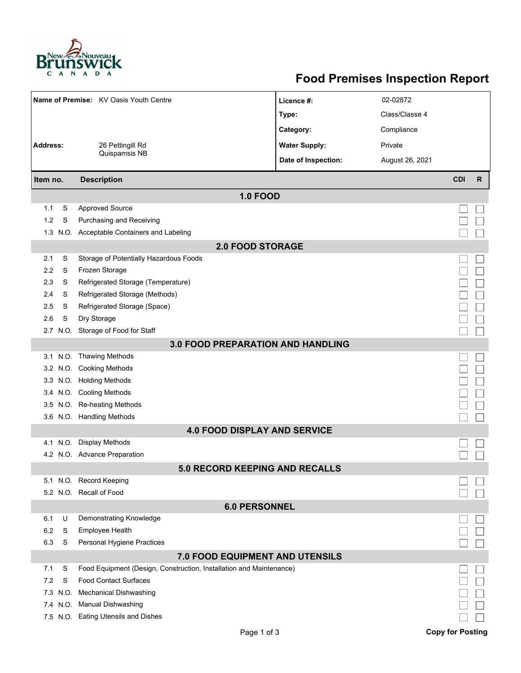

## **Food Premises Inspection Report**

|                                          |      | Name of Premise: KV Oasis Youth Centre                              | Licence #:           | 02-02872        |            |              |  |  |  |  |  |  |
|------------------------------------------|------|---------------------------------------------------------------------|----------------------|-----------------|------------|--------------|--|--|--|--|--|--|
|                                          |      |                                                                     | Type:                | Class/Classe 4  |            |              |  |  |  |  |  |  |
|                                          |      |                                                                     |                      |                 |            |              |  |  |  |  |  |  |
|                                          |      |                                                                     | Category:            | Compliance      |            |              |  |  |  |  |  |  |
| <b>Address:</b>                          |      | 26 Pettingill Rd<br>Quispamsis NB                                   | <b>Water Supply:</b> | Private         |            |              |  |  |  |  |  |  |
|                                          |      |                                                                     | Date of Inspection:  | August 26, 2021 |            |              |  |  |  |  |  |  |
| Item no.                                 |      | <b>Description</b>                                                  |                      |                 | <b>CDI</b> | $\mathsf{R}$ |  |  |  |  |  |  |
|                                          |      | <b>1.0 FOOD</b>                                                     |                      |                 |            |              |  |  |  |  |  |  |
| 1.1                                      | S    | <b>Approved Source</b>                                              |                      |                 |            |              |  |  |  |  |  |  |
| 1.2                                      | S    | Purchasing and Receiving                                            |                      |                 |            |              |  |  |  |  |  |  |
| 1.3                                      |      | N.O. Acceptable Containers and Labeling                             |                      |                 |            |              |  |  |  |  |  |  |
| <b>2.0 FOOD STORAGE</b>                  |      |                                                                     |                      |                 |            |              |  |  |  |  |  |  |
| 2.1                                      | S    | Storage of Potentially Hazardous Foods                              |                      |                 |            |              |  |  |  |  |  |  |
| 2.2                                      | S    | Frozen Storage                                                      |                      |                 |            |              |  |  |  |  |  |  |
| 2.3                                      | S    | Refrigerated Storage (Temperature)                                  |                      |                 |            |              |  |  |  |  |  |  |
| 2.4                                      | S    | Refrigerated Storage (Methods)                                      |                      |                 |            |              |  |  |  |  |  |  |
| 2.5                                      | S    | Refrigerated Storage (Space)                                        |                      |                 |            |              |  |  |  |  |  |  |
| 2.6                                      | S    | Dry Storage                                                         |                      |                 |            |              |  |  |  |  |  |  |
| 2.7                                      |      | N.O. Storage of Food for Staff                                      |                      |                 |            |              |  |  |  |  |  |  |
| <b>3.0 FOOD PREPARATION AND HANDLING</b> |      |                                                                     |                      |                 |            |              |  |  |  |  |  |  |
|                                          |      | 3.1 N.O. Thawing Methods                                            |                      |                 |            |              |  |  |  |  |  |  |
|                                          |      | 3.2 N.O. Cooking Methods                                            |                      |                 |            |              |  |  |  |  |  |  |
| 3.3                                      |      | N.O. Holding Methods                                                |                      |                 |            |              |  |  |  |  |  |  |
| 3.4                                      |      | N.O. Cooling Methods                                                |                      |                 |            |              |  |  |  |  |  |  |
| 3.5                                      |      | N.O. Re-heating Methods                                             |                      |                 |            |              |  |  |  |  |  |  |
|                                          |      | 3.6 N.O. Handling Methods                                           |                      |                 |            |              |  |  |  |  |  |  |
|                                          |      | <b>4.0 FOOD DISPLAY AND SERVICE</b>                                 |                      |                 |            |              |  |  |  |  |  |  |
|                                          |      | 4.1 N.O. Display Methods                                            |                      |                 |            |              |  |  |  |  |  |  |
|                                          |      | 4.2 N.O. Advance Preparation                                        |                      |                 |            |              |  |  |  |  |  |  |
|                                          |      | 5.0 RECORD KEEPING AND RECALLS                                      |                      |                 |            |              |  |  |  |  |  |  |
|                                          |      | 5.1 N.O. Record Keeping                                             |                      |                 |            |              |  |  |  |  |  |  |
|                                          |      | 5.2 N.O. Recall of Food                                             |                      |                 |            |              |  |  |  |  |  |  |
| <b>6.0 PERSONNEL</b>                     |      |                                                                     |                      |                 |            |              |  |  |  |  |  |  |
| 6.1                                      | U    | Demonstrating Knowledge                                             |                      |                 |            |              |  |  |  |  |  |  |
| 6.2                                      | S    | Employee Health                                                     |                      |                 |            |              |  |  |  |  |  |  |
| 6.3                                      | S    | Personal Hygiene Practices                                          |                      |                 |            |              |  |  |  |  |  |  |
| 7.0 FOOD EQUIPMENT AND UTENSILS          |      |                                                                     |                      |                 |            |              |  |  |  |  |  |  |
| 7.1                                      | S    | Food Equipment (Design, Construction, Installation and Maintenance) |                      |                 |            |              |  |  |  |  |  |  |
| 7.2                                      | S    | <b>Food Contact Surfaces</b>                                        |                      |                 |            |              |  |  |  |  |  |  |
| 7.3                                      | N.O. | <b>Mechanical Dishwashing</b>                                       |                      |                 |            |              |  |  |  |  |  |  |
|                                          |      | 7.4 N.O. Manual Dishwashing                                         |                      |                 |            |              |  |  |  |  |  |  |
|                                          |      | 7.5 N.O. Eating Utensils and Dishes                                 |                      |                 |            |              |  |  |  |  |  |  |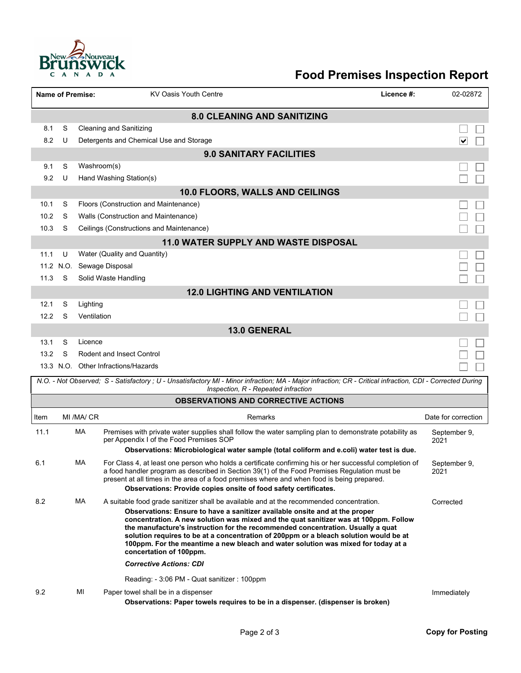

## **Food Premises Inspection Report**

|                                    |                                             | <b>Name of Premise:</b> | <b>KV Oasis Youth Centre</b>                                                                                                                                                                                                                                                                                                                                                                                                                                                                                                                                                                                                                  | Licence #: | 02-02872             |  |  |  |  |  |  |
|------------------------------------|---------------------------------------------|-------------------------|-----------------------------------------------------------------------------------------------------------------------------------------------------------------------------------------------------------------------------------------------------------------------------------------------------------------------------------------------------------------------------------------------------------------------------------------------------------------------------------------------------------------------------------------------------------------------------------------------------------------------------------------------|------------|----------------------|--|--|--|--|--|--|
| <b>8.0 CLEANING AND SANITIZING</b> |                                             |                         |                                                                                                                                                                                                                                                                                                                                                                                                                                                                                                                                                                                                                                               |            |                      |  |  |  |  |  |  |
| 8.1                                | S                                           |                         | <b>Cleaning and Sanitizing</b>                                                                                                                                                                                                                                                                                                                                                                                                                                                                                                                                                                                                                |            |                      |  |  |  |  |  |  |
| 8.2                                | U                                           |                         | Detergents and Chemical Use and Storage                                                                                                                                                                                                                                                                                                                                                                                                                                                                                                                                                                                                       |            | V                    |  |  |  |  |  |  |
| <b>9.0 SANITARY FACILITIES</b>     |                                             |                         |                                                                                                                                                                                                                                                                                                                                                                                                                                                                                                                                                                                                                                               |            |                      |  |  |  |  |  |  |
| 9.1                                | S                                           | Washroom(s)             |                                                                                                                                                                                                                                                                                                                                                                                                                                                                                                                                                                                                                                               |            |                      |  |  |  |  |  |  |
| 9.2                                | U                                           |                         | Hand Washing Station(s)                                                                                                                                                                                                                                                                                                                                                                                                                                                                                                                                                                                                                       |            |                      |  |  |  |  |  |  |
|                                    |                                             |                         | 10.0 FLOORS, WALLS AND CEILINGS                                                                                                                                                                                                                                                                                                                                                                                                                                                                                                                                                                                                               |            |                      |  |  |  |  |  |  |
| 10.1                               | S                                           |                         | Floors (Construction and Maintenance)                                                                                                                                                                                                                                                                                                                                                                                                                                                                                                                                                                                                         |            |                      |  |  |  |  |  |  |
| 10.2                               | S                                           |                         | Walls (Construction and Maintenance)                                                                                                                                                                                                                                                                                                                                                                                                                                                                                                                                                                                                          |            |                      |  |  |  |  |  |  |
| 10.3                               | S                                           |                         | Ceilings (Constructions and Maintenance)                                                                                                                                                                                                                                                                                                                                                                                                                                                                                                                                                                                                      |            |                      |  |  |  |  |  |  |
|                                    | <b>11.0 WATER SUPPLY AND WASTE DISPOSAL</b> |                         |                                                                                                                                                                                                                                                                                                                                                                                                                                                                                                                                                                                                                                               |            |                      |  |  |  |  |  |  |
| 11.1                               | U                                           |                         | Water (Quality and Quantity)                                                                                                                                                                                                                                                                                                                                                                                                                                                                                                                                                                                                                  |            |                      |  |  |  |  |  |  |
| 11.3                               | 11.2 N.O.                                   |                         | Sewage Disposal                                                                                                                                                                                                                                                                                                                                                                                                                                                                                                                                                                                                                               |            |                      |  |  |  |  |  |  |
|                                    | S<br>Solid Waste Handling                   |                         |                                                                                                                                                                                                                                                                                                                                                                                                                                                                                                                                                                                                                                               |            |                      |  |  |  |  |  |  |
| 12.1                               | S                                           | Lighting                | <b>12.0 LIGHTING AND VENTILATION</b>                                                                                                                                                                                                                                                                                                                                                                                                                                                                                                                                                                                                          |            |                      |  |  |  |  |  |  |
| 12.2                               | S                                           |                         |                                                                                                                                                                                                                                                                                                                                                                                                                                                                                                                                                                                                                                               |            |                      |  |  |  |  |  |  |
|                                    | Ventilation<br><b>13.0 GENERAL</b>          |                         |                                                                                                                                                                                                                                                                                                                                                                                                                                                                                                                                                                                                                                               |            |                      |  |  |  |  |  |  |
| 13.1                               | S                                           | Licence                 |                                                                                                                                                                                                                                                                                                                                                                                                                                                                                                                                                                                                                                               |            |                      |  |  |  |  |  |  |
| 13.2                               | S                                           |                         | <b>Rodent and Insect Control</b>                                                                                                                                                                                                                                                                                                                                                                                                                                                                                                                                                                                                              |            |                      |  |  |  |  |  |  |
|                                    |                                             |                         | 13.3 N.O. Other Infractions/Hazards                                                                                                                                                                                                                                                                                                                                                                                                                                                                                                                                                                                                           |            |                      |  |  |  |  |  |  |
|                                    |                                             |                         | N.O. - Not Observed; S - Satisfactory ; U - Unsatisfactory MI - Minor infraction; MA - Major infraction; CR - Critical infraction, CDI - Corrected During<br>Inspection, R - Repeated infraction                                                                                                                                                                                                                                                                                                                                                                                                                                              |            |                      |  |  |  |  |  |  |
|                                    |                                             |                         | <b>OBSERVATIONS AND CORRECTIVE ACTIONS</b>                                                                                                                                                                                                                                                                                                                                                                                                                                                                                                                                                                                                    |            |                      |  |  |  |  |  |  |
| Item                               |                                             | MI /MA/ CR              | Remarks                                                                                                                                                                                                                                                                                                                                                                                                                                                                                                                                                                                                                                       |            | Date for correction  |  |  |  |  |  |  |
| 11.1                               |                                             | MA                      |                                                                                                                                                                                                                                                                                                                                                                                                                                                                                                                                                                                                                                               |            |                      |  |  |  |  |  |  |
|                                    |                                             |                         | Premises with private water supplies shall follow the water sampling plan to demonstrate potability as<br>per Appendix I of the Food Premises SOP                                                                                                                                                                                                                                                                                                                                                                                                                                                                                             |            | September 9,<br>2021 |  |  |  |  |  |  |
|                                    |                                             |                         | Observations: Microbiological water sample (total coliform and e.coli) water test is due.                                                                                                                                                                                                                                                                                                                                                                                                                                                                                                                                                     |            |                      |  |  |  |  |  |  |
| 6.1                                |                                             | МA                      | For Class 4, at least one person who holds a certificate confirming his or her successful completion of<br>a food handler program as described in Section 39(1) of the Food Premises Regulation must be<br>present at all times in the area of a food premises where and when food is being prepared.<br><b>Observations: Provide copies onsite of food safety certificates.</b>                                                                                                                                                                                                                                                              |            | September 9,<br>2021 |  |  |  |  |  |  |
| 8.2                                |                                             | МA                      | A suitable food grade sanitizer shall be available and at the recommended concentration.<br>Observations: Ensure to have a sanitizer available onsite and at the proper<br>concentration. A new solution was mixed and the quat sanitizer was at 100ppm. Follow<br>the manufacture's instruction for the recommended concentration. Usually a quat<br>solution requires to be at a concentration of 200ppm or a bleach solution would be at<br>100ppm. For the meantime a new bleach and water solution was mixed for today at a<br>concertation of 100ppm.<br><b>Corrective Actions: CDI</b><br>Reading: - 3:06 PM - Quat sanitizer : 100ppm |            | Corrected            |  |  |  |  |  |  |
| 9.2                                |                                             | MI                      | Paper towel shall be in a dispenser<br>Observations: Paper towels requires to be in a dispenser. (dispenser is broken)                                                                                                                                                                                                                                                                                                                                                                                                                                                                                                                        |            | Immediately          |  |  |  |  |  |  |